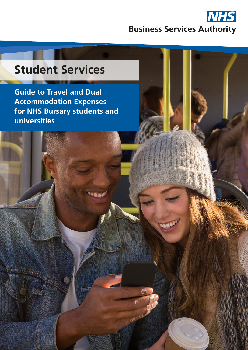

# **Student Services**

**Guide to Travel and Dual Accommodation Expenses for NHS Bursary students and universities**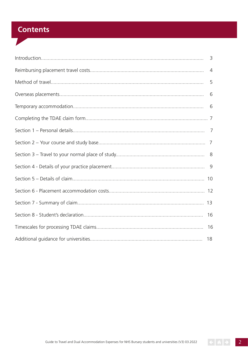# **Contents**

| $\overline{4}$ |
|----------------|
| 5              |
|                |
|                |
|                |
|                |
|                |
|                |
|                |
|                |
|                |
|                |
| 16             |
| 16             |
|                |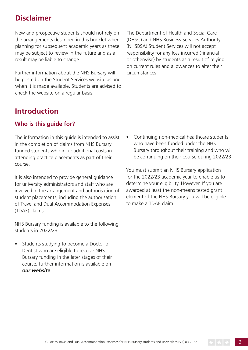# **Disclaimer**

New and prospective students should not rely on the arrangements described in this booklet when planning for subsequent academic years as these may be subject to review in the future and as a result may be liable to change.

Further information about the NHS Bursary will be posted on the Student Services website as and when it is made available. Students are advised to check the website on a regular basis.

# **Introduction**

### **Who is this guide for?**

The information in this guide is intended to assist in the completion of claims from NHS Bursary funded students who incur additional costs in attending practice placements as part of their course.

It is also intended to provide general guidance for university administrators and staff who are involved in the arrangement and authorisation of student placements, including the authorisation of Travel and Dual Accommodation Expenses (TDAE) claims.

NHS Bursary funding is available to the following students in 2022/23:

• Students studying to become a Doctor or Dentist who are eligible to receive NHS Bursary funding in the later stages of their course, further information is available on *[our website](http://www.nhsbsa.nhs.uk/nhs-bursary-students)*.

The Department of Health and Social Care (DHSC) and NHS Business Services Authority (NHSBSA) Student Services will not accept responsibility for any loss incurred (financial or otherwise) by students as a result of relying on current rules and allowances to alter their circumstances.

• Continuing non-medical healthcare students who have been funded under the NHS Bursary throughout their training and who will be continuing on their course during 2022/23.

You must submit an NHS Bursary application for the 2022/23 academic year to enable us to determine your eligibility. However, If you are awarded at least the non-means tested grant element of the NHS Bursary you will be eligible to make a TDAE claim.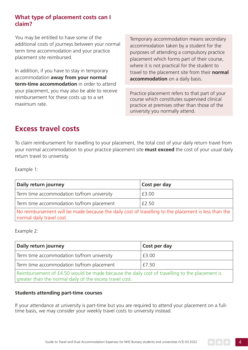### **What type of placement costs can I claim?**

You may be entitled to have some of the additional costs of journeys between your normal term time accommodation and your practice placement site reimbursed.

In addition, if you have to stay in temporary accommodation **away from your normal term-time accommodation** in order to attend your placement, you may also be able to receive reimbursement for these costs up to a set maximum rate.

Temporary accommodation means secondary accommodation taken by a student for the purposes of attending a compulsory practice placement which forms part of their course, where it is not practical for the student to travel to the placement site from their **normal accommodation** on a daily basis.

Practice placement refers to that part of your course which constitutes supervised clinical practice at premises other than those of the university you normally attend.

# **Excess travel costs**

To claim reimbursement for travelling to your placement, the total cost of your daily return travel from your normal accommodation to your practice placement site **must exceed** the cost of your usual daily return travel to university.

Example 1:

| Daily return journey                                                                                                              | Cost per day |
|-----------------------------------------------------------------------------------------------------------------------------------|--------------|
| Term time accommodation to/from university                                                                                        | £3.00        |
| Term time accommodation to/from placement                                                                                         | £2.50        |
| No reimbursement will be made because the daily cost of travelling to the placement is less than the<br>normal daily travel cost. |              |

Example 2:

| Daily return journey                                                                          | Cost per day |
|-----------------------------------------------------------------------------------------------|--------------|
| Term time accommodation to/from university                                                    | £3.00        |
| Term time accommodation to/from placement<br>£7.50                                            |              |
| Reimbursement of £4.50 would be made because the daily cost of travelling to the placement is |              |

greater than the normal daily of the excess travel cost.

### **Students attending part-time courses**

If your attendance at university is part-time but you are required to attend your placement on a fulltime basis, we may consider your weekly travel costs to university instead.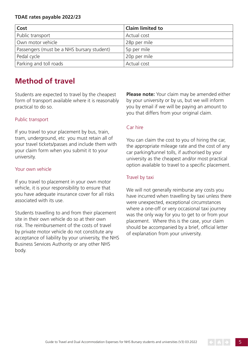### **TDAE rates payable 2022/23**

| Cost                                       | <b>Claim limited to</b> |
|--------------------------------------------|-------------------------|
| Public transport                           | Actual cost             |
| Own motor vehicle                          | 28p per mile            |
| Passengers (must be a NHS bursary student) | 5p per mile             |
| Pedal cycle                                | 20p per mile            |
| Parking and toll roads                     | Actual cost             |

# **Method of travel**

Students are expected to travel by the cheapest form of transport available where it is reasonably practical to do so.

### Public transport

If you travel to your placement by bus, train, tram, underground, etc you must retain all of your travel tickets/passes and include them with your claim form when you submit it to your university.

#### Your own vehicle

If you travel to placement in your own motor vehicle, it is your responsibility to ensure that you have adequate insurance cover for all risks associated with its use.

Students travelling to and from their placement site in their own vehicle do so at their own risk. The reimbursement of the costs of travel by private motor vehicle do not constitute any acceptance of liability by your university, the NHS Business Services Authority or any other NHS body.

**Please note:** Your claim may be amended either by your university or by us, but we will inform you by email if we will be paying an amount to you that differs from your original claim.

### Car hire

You can claim the cost to you of hiring the car, the appropriate mileage rate and the cost of any car parking/tunnel tolls, if authorised by your university as the cheapest and/or most practical option available to travel to a specific placement.

### Travel by taxi

We will not generally reimburse any costs you have incurred when travelling by taxi unless there were unexpected, exceptional circumstances where a one-off or very occasional taxi journey was the only way for you to get to or from your placement. Where this is the case, your claim should be accompanied by a brief, official letter of explanation from your university.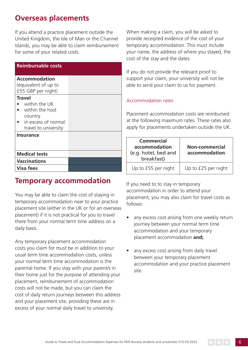# **Overseas placements**

If you attend a practice placement outside the United Kingdom, the Isle of Man or the Channel Islands, you may be able to claim reimbursement for some of your related costs.

| <b>Reimbursable costs</b>                                                                                   |  |
|-------------------------------------------------------------------------------------------------------------|--|
| <b>Accommodation</b><br>(equivalent of up to<br>£55 GBP per night)                                          |  |
| <b>Travel</b><br>within the UK<br>within the host<br>country<br>in excess of normal<br>travel to university |  |
| <b>Insurance</b>                                                                                            |  |
| <b>Medical tests</b>                                                                                        |  |
| <b>Vaccinations</b>                                                                                         |  |
| Visa fees                                                                                                   |  |

## **Temporary accommodation**

You may be able to claim the cost of staying in temporary accommodation near to your practice placement site (either in the UK or for an overseas placement) if it is not practical for you to travel there from your normal term time address on a daily basis.

Any temporary placement accommodation costs you claim for must be in addition to your usual term time accommodation costs, unless your normal term time accommodation is the parental home. If you stay with your parent/s in their home just for the purpose of attending your placement, reimbursement of accommodation costs will not be made, but you can claim the cost of daily return journeys between this address and your placement site, providing these are in excess of your normal daily travel to university.

When making a claim, you will be asked to provide receipted evidence of the cost of your temporary accommodation. This must include your name, the address of where you stayed, the cost of the stay and the dates.

If you do not provide the relevant proof to support your claim, your university will not be able to send your claim to us for payment.

### Accommodation rates

Placement accommodation costs are reimbursed at the following maximum rates. These rates also apply for placements undertaken outside the UK.

| <b>Commercial</b><br>accommodation<br>(e.g. hotel, bed and<br>breakfast) | Non-commercial<br>accommodation |
|--------------------------------------------------------------------------|---------------------------------|
| Up to £55 per night                                                      | Up to £25 per night             |

If you need to to stay in temporary accommodation in order to attend your placement, you may also claim for travel costs as follows:

- any excess cost arising from one weekly return journey between your normal term time accommodation and your temporary placement accommodation **and;**
- any excess cost arising from daily travel between your temporary placement accommodation and your practice placement site.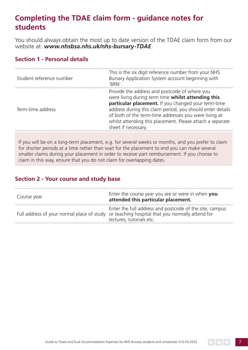# **Completing the TDAE claim form - guidance notes for students**

You should always obtain the most up to date version of the TDAE claim form from our website at: *[www.nhsbsa.nhs.uk/nhs-bursary-TDAE](http://www.nhsbsa.nhs.uk/nhs-bursary-TDAE)*.

### **Section 1 - Personal details**

| Student reference number | This is the six digit reference number from your NHS<br>Bursary Application System account beginning with<br>'BRN'.                                                                                                                                                                                                                                                   |
|--------------------------|-----------------------------------------------------------------------------------------------------------------------------------------------------------------------------------------------------------------------------------------------------------------------------------------------------------------------------------------------------------------------|
| Term-time address        | Provide the address and postcode of where you<br>were living during term time whilst attending this<br>particular placement. If you changed your term-time<br>address during this claim period, you should enter details<br>of both of the term-time addresses you were living at<br>whilst attending this placement. Please attach a separate<br>sheet if necessary. |

If you will be on a long-term placement, e.g. for several weeks or months, and you prefer to claim for shorter periods at a time rather than wait for the placement to end you can make several smaller claims during your placement in order to receive part reimbursement. If you choose to claim in this way, ensure that you do not claim for overlapping dates.

### **Section 2 - Your course and study base**

| Course year | Enter the course year you are or were in when you<br>attended this particular placement.                                                                                            |
|-------------|-------------------------------------------------------------------------------------------------------------------------------------------------------------------------------------|
|             | Enter the full address and postcode of the site, campus<br>Full address of your normal place of study or teaching hospital that you normally attend for<br>lectures, tutorials etc. |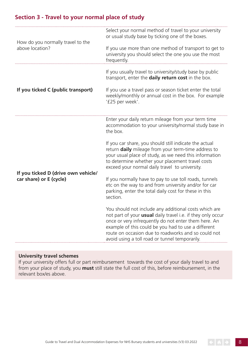### **Section 3 - Travel to your normal place of study**

| How do you normally travel to the<br>above location?           | Select your normal method of travel to your university<br>or usual study base by ticking one of the boxes.<br>If you use more than one method of transport to get to<br>university you should select the one you use the most<br>frequently.                                                                                                                                                                                                                                     |
|----------------------------------------------------------------|----------------------------------------------------------------------------------------------------------------------------------------------------------------------------------------------------------------------------------------------------------------------------------------------------------------------------------------------------------------------------------------------------------------------------------------------------------------------------------|
| If you ticked C (public transport)                             | If you usually travel to university/study base by public<br>transport, enter the daily return cost in the box.<br>If you use a travel pass or season ticket enter the total<br>weekly/monthly or annual cost in the box. For example<br>'£25 per week'.                                                                                                                                                                                                                          |
| If you ticked D (drive own vehicle/<br>car share) or E (cycle) | Enter your daily return mileage from your term time<br>accommodation to your university/normal study base in<br>the box.<br>If you car share, you should still indicate the actual<br>return daily mileage from your term-time address to<br>your usual place of study, as we need this information<br>to determine whether your placement travel costs<br>exceed your normal daily travel to university.<br>If you normally have to pay to use toll roads, tunnels              |
|                                                                | etc on the way to and from university and/or for car<br>parking, enter the total daily cost for these in this<br>section.<br>You should not include any additional costs which are<br>not part of your <b>usual</b> daily travel i.e. if they only occur<br>once or very infrequently do not enter them here. An<br>example of this could be you had to use a different<br>route on occasion due to roadworks and so could not<br>avoid using a toll road or tunnel temporarily. |

### **University travel schemes**

If your university offers full or part reimbursement towards the cost of your daily travel to and from your place of study, you **must** still state the full cost of this, before reimbursement, in the relevant box/es above.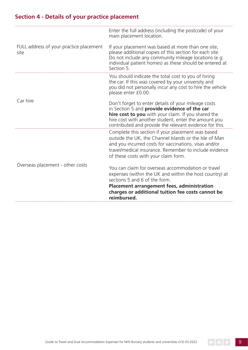### **Section 4 - Details of your practice placement**

|                                                 | Enter the full address (including the postcode) of your<br>main placement location.                                                                                                                                                                                           |
|-------------------------------------------------|-------------------------------------------------------------------------------------------------------------------------------------------------------------------------------------------------------------------------------------------------------------------------------|
| FULL address of your practice placement<br>site | If your placement was based at more than one site,<br>please additional copies of this section for each site.<br>Do not include any community mileage locations (e.g.<br>individual patient homes) as these should be entered at<br>Section 5.                                |
|                                                 | You should indicate the total cost to you of hiring<br>the car. If this was covered by your university and<br>you did not personally incur any cost to hire the vehicle<br>please enter £0.00.                                                                                |
| Car hire                                        | Don't forget to enter details of your mileage costs<br>in Section 5 and provide evidence of the car<br>hire cost to you with your claim. If you shared the<br>hire cost with another student, enter the amount you<br>contributed and provide the relevant evidence for this. |
|                                                 | Complete this section if your placement was based<br>outside the UK, the Channel Islands or the Isle of Man<br>and you incurred costs for vaccinations, visas and/or<br>travel/medical insurance. Remember to include evidence<br>of these costs with your claim form.        |
| Overseas placement - other costs                | You can claim for overseas accommodation or travel<br>expenses (within the UK and within the host country) at<br>sections 5 and 6 of the form.<br><b>Placement arrangement fees, administration</b><br>charges or additional tuition fee costs cannot be<br>reimbursed.       |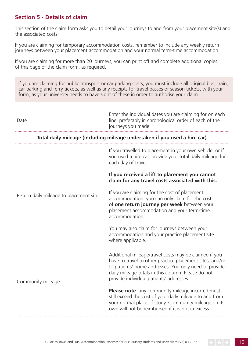### **Section 5 - Details of claim**

This section of the claim form asks you to detail your journeys to and from your placement site(s) and the associated costs.

If you are claiming for temporary accommodation costs, remember to include any weekly return journeys between your placement accommodation and your normal term-time accommodation.

If you are claiming for more than 20 journeys, you can print off and complete additional copies of this page of the claim form, as required.

If you are claiming for public transport or car parking costs, you must include all original bus, train, car parking and ferry tickets, as well as any receipts for travel passes or season tickets, with your form, as your university needs to have sight of these in order to authorise your claim.

| Date                                   | Enter the individual dates you are claiming for on each<br>line, preferably in chronological order of each of the<br>journeys you made.                                                                                                                                     |
|----------------------------------------|-----------------------------------------------------------------------------------------------------------------------------------------------------------------------------------------------------------------------------------------------------------------------------|
|                                        | Total daily mileage (including mileage undertaken if you used a hire car)                                                                                                                                                                                                   |
| Return daily mileage to placement site | If you travelled to placement in your own vehicle, or if<br>you used a hire car, provide your total daily mileage for<br>each day of travel.                                                                                                                                |
|                                        | If you received a lift to placement you cannot<br>claim for any travel costs associated with this.                                                                                                                                                                          |
|                                        | If you are claiming for the cost of placement<br>accommodation, you can only claim for the cost<br>of one return journey per week between your<br>placement accommodation and your term-time<br>accommodation.                                                              |
|                                        | You may also claim for journeys between your<br>accommodation and your practice placement site<br>where applicable.                                                                                                                                                         |
| Community mileage                      | Additional mileage/travel costs may be claimed if you<br>have to travel to other practice placement sites, and/or<br>to patients' home addresses. You only need to provide<br>daily mileage totals in this column. Please do not<br>provide individual patients' addresses. |
|                                        | Please note: any community mileage incurred must<br>still exceed the cost of your daily mileage to and from<br>your normal place of study. Community mileage on its<br>own will not be reimbursed if it is not in excess.                                                   |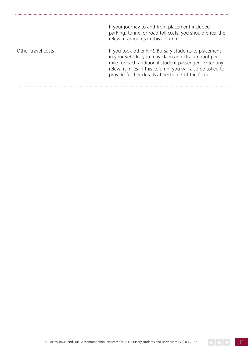If your journey to and from placement included parking, tunnel or road toll costs, you should enter the relevant amounts in this column.

Other travel costs

If you took other NHS Bursary students to placement in your vehicle, you may claim an extra amount per mile for each additional student passenger. Enter any relevant miles in this column, you will also be asked to provide further details at Section 7 of the form.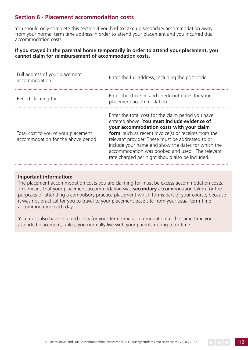### **Section 6 - Placement accommodation costs**

You should only complete this section if you had to take up secondary accommodation away from your normal term time address in order to attend your placement and you incurred dual accommodation costs.

#### **If you stayed in the parental home temporarily in order to attend your placement, you cannot claim for reimbursement of accommodation costs.**

| Full address of your placement<br>accommodation                            | Enter the full address, including the post code.                                                                                                                                                                                                                                                                                                                                                                              |
|----------------------------------------------------------------------------|-------------------------------------------------------------------------------------------------------------------------------------------------------------------------------------------------------------------------------------------------------------------------------------------------------------------------------------------------------------------------------------------------------------------------------|
| Period claiming for                                                        | Enter the check-in and check-out dates for your<br>placement accommodation.                                                                                                                                                                                                                                                                                                                                                   |
| Total cost to you of your placement<br>accommodation for the above period. | Enter the total cost for the claim period you have<br>entered above. You must include evidence of<br>your accommodation costs with your claim<br><b>form</b> , such as recent invoice(s) or receipts from the<br>relevant provider. These must be addressed to or<br>include your name and show the dates for which the<br>accommodation was booked and used. The relevant<br>rate charged per night should also be included. |

#### **Important information:**

The placement accommodation costs you are claiming for must be excess accommodation costs. This means that your placement accommodation was **secondary** accommodation taken for the purposes of attending a compulsory practice placement which forms part of your course, because it was not practical for you to travel to your placement base site from your usual term-time accommodation each day.

You must also have incurred costs for your term time accommodation at the same time you attended placement, unless you normally live with your parents during term time.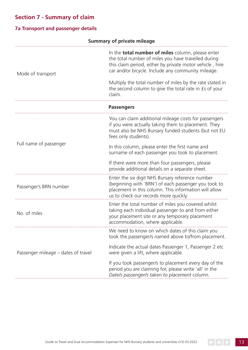# **Section 7 - Summary of claim**

### **7a Transport and passenger details**

|                                     | <b>Summary of private mileage</b>                                                                                                                                                                                                                                                             |  |
|-------------------------------------|-----------------------------------------------------------------------------------------------------------------------------------------------------------------------------------------------------------------------------------------------------------------------------------------------|--|
| Mode of transport                   | In the <b>total number of miles</b> column, please enter<br>the total number of miles you have travelled during<br>this claim period, either by private motor vehicle, hire<br>car and/or bicycle. Include any community mileage.<br>Multiply the total number of miles by the rate stated in |  |
|                                     | the second column to give the total rate in £s of your<br>claim.                                                                                                                                                                                                                              |  |
|                                     | <b>Passengers</b>                                                                                                                                                                                                                                                                             |  |
| Full name of passenger              | You can claim additional mileage costs for passengers<br>if you were actually taking them to placement. They<br>must also be NHS Bursary funded students (but not EU<br>fees only students).                                                                                                  |  |
|                                     | In this column, please enter the first name and<br>surname of each passenger you took to placement.                                                                                                                                                                                           |  |
|                                     | If there were more than four passengers, please<br>provide additional details on a separate sheet.                                                                                                                                                                                            |  |
| Passenger's BRN number              | Enter the six digit NHS Bursary reference number<br>(beginning with 'BRN') of each passenger you took to<br>placement in this column. This information will allow<br>us to check our records more quickly.                                                                                    |  |
| No. of miles                        | Enter the total number of miles you covered whilst<br>taking each individual passenger to and from either<br>your placement site or any temporary placement<br>accommodation, where applicable.                                                                                               |  |
| Passenger mileage – dates of travel | We need to know on which dates of this claim you<br>took the passenger/s named above to/from placement.                                                                                                                                                                                       |  |
|                                     | Indicate the actual dates Passenger 1, Passenger 2 etc<br>were given a lift, where applicable.                                                                                                                                                                                                |  |
|                                     | If you took passenger/s to placement every day of the<br>period you are claiming for, please write 'all' in the<br>Date/s passenger/s taken to placement column.                                                                                                                              |  |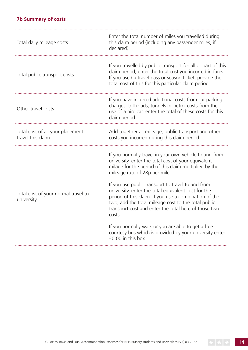### **7b Summary of costs**

| Total daily mileage costs                             | Enter the total number of miles you travelled during<br>this claim period (including any passenger miles, if<br>declared).                                                                                                                                                                 |
|-------------------------------------------------------|--------------------------------------------------------------------------------------------------------------------------------------------------------------------------------------------------------------------------------------------------------------------------------------------|
| Total public transport costs                          | If you travelled by public transport for all or part of this<br>claim period, enter the total cost you incurred in fares.<br>If you used a travel pass or season ticket, provide the<br>total cost of this for this particular claim period.                                               |
| Other travel costs                                    | If you have incurred additional costs from car parking<br>charges, toll roads, tunnels or petrol costs from the<br>use of a hire car, enter the total of these costs for this<br>claim period.                                                                                             |
| Total cost of all your placement<br>travel this claim | Add together all mileage, public transport and other<br>costs you incurred during this claim period.                                                                                                                                                                                       |
| Total cost of your normal travel to<br>university     | If you normally travel in your own vehicle to and from<br>university, enter the total cost of your equivalent<br>milage for the period of this claim multiplied by the<br>mileage rate of 28p per mile.                                                                                    |
|                                                       | If you use public transport to travel to and from<br>university, enter the total equivalent cost for the<br>period of this claim. If you use a combination of the<br>two, add the total mileage cost to the total public<br>transport cost and enter the total here of those two<br>costs. |
|                                                       | If you normally walk or you are able to get a free<br>courtesy bus which is provided by your university enter<br>£0.00 in this box.                                                                                                                                                        |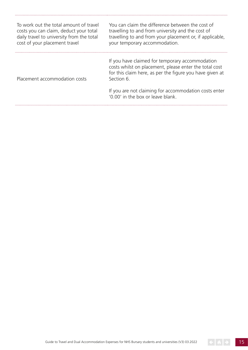| To work out the total amount of travel<br>costs you can claim, deduct your total<br>daily travel to university from the total<br>cost of your placement travel | You can claim the difference between the cost of<br>travelling to and from university and the cost of<br>travelling to and from your placement or, if applicable,<br>your temporary accommodation. |
|----------------------------------------------------------------------------------------------------------------------------------------------------------------|----------------------------------------------------------------------------------------------------------------------------------------------------------------------------------------------------|
| Placement accommodation costs                                                                                                                                  | If you have claimed for temporary accommodation<br>costs whilst on placement, please enter the total cost<br>for this claim here, as per the figure you have given at<br>Section 6.                |
|                                                                                                                                                                | If you are not claiming for accommodation costs enter<br>'0.00' in the box or leave blank.                                                                                                         |

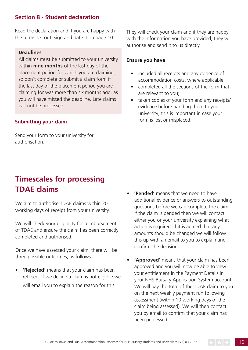### **Section 8 - Student declaration**

Read the declaration and if you are happy with the terms set out, sign and date it on page 10.

### **Deadlines**

All claims must be submitted to your university within **nine months** of the last day of the placement period for which you are claiming, so don't complete or submit a claim form if the last day of the placement period you are claiming for was more than six months ago, as you will have missed the deadline. Late claims will not be processed.

#### **Submitting your claim**

Send your form to your university for authorisation.

# **Timescales for processing TDAE claims**

We aim to authorise TDAE claims within 20 working days of receipt from your university.

We will check your eligibility for reimbursement of TDAE and ensure the claim has been correctly completed and authorised.

Once we have assessed your claim, there will be three possible outcomes, as follows:

**• 'Rejected'** means that your claim has been refused. If we decide a claim is not eligible we will email you to explain the reason for this.

They will check your claim and if they are happy with the information you have provided, they will authorise and send it to us directly.

### **Ensure you have**

- included all receipts and any evidence of accommodation costs, where applicable;
- completed all the sections of the form that are relevant to you;
- taken copies of your form and any receipts/ evidence before handing them to your university; this is important in case your form is lost or misplaced.

- **• 'Pended'** means that we need to have additional evidence or answers to outstanding questions before we can complete the claim. If the claim is pended then we will contact either you or your university explaining what action is required. If it is agreed that any amounts should be changed we will follow this up with an email to you to explain and confrm the decision.
- **• 'Approved'** means that your claim has been approved and you will now be able to view your entitlement in the Payment Details in your NHS Bursary Application System account. We will pay the total of the TDAE claim to you on the next weekly payment run following assessment (within 10 working days of the claim being assessed). We will then contact you by email to confirm that your claim has been processed.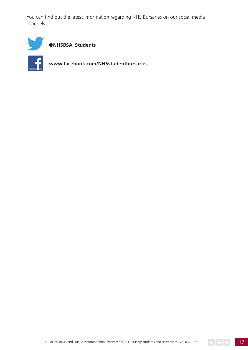You can find out the latest information regarding NHS Bursaries on our social media channels:



**[@NHSBSA\\_Students](https://twitter.com/NHSBSA_Students)** 



**<www.facebook.com/NHSstudentbursaries>** 

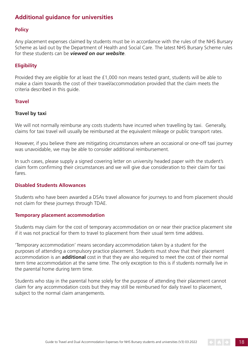### <span id="page-17-0"></span>**Additional guidance for universities**

### **Policy**

Any placement expenses claimed by students must be in accordance with the rules of the NHS Bursary Scheme as laid out by the Department of Health and Social Care. The latest NHS Bursary Scheme rules for these students can be *[viewed on our website](https://www.nhsbsa.nhs.uk/information-universities-and-colleges/guides-and-toolkit)*.

### **Eligibility**

Provided they are eligible for at least the £1,000 non means tested grant, students will be able to make a claim towards the cost of their travel/accommodation provided that the claim meets the criteria described in this guide.

#### **Travel**

#### **Travel by taxi**

We will not normally reimburse any costs students have incurred when travelling by taxi. Generally, claims for taxi travel will usually be reimbursed at the equivalent mileage or public transport rates.

However, if you believe there are mitigating circumstances where an occasional or one-off taxi journey was unavoidable, we may be able to consider additional reimbursement.

In such cases, please supply a signed covering letter on university headed paper with the student's claim form confrming their circumstances and we will give due consideration to their claim for taxi fares.

#### **Disabled Students Allowances**

Students who have been awarded a DSAs travel allowance for journeys to and from placement should not claim for these journeys through TDAE.

#### **Temporary placement accommodation**

Students may claim for the cost of temporary accommodation on or near their practice placement site if it was not practical for them to travel to placement from their usual term time address.

'Temporary accommodation' means secondary accommodation taken by a student for the purposes of attending a compulsory practice placement. Students must show that their placement accommodation is an **additional** cost in that they are also required to meet the cost of their normal term time accommodation at the same time. The only exception to this is if students normally live in the parental home during term time.

Students who stay in the parental home solely for the purpose of attending their placement cannot claim for any accommodation costs but they may still be reimbursed for daily travel to placement, subject to the normal claim arrangements.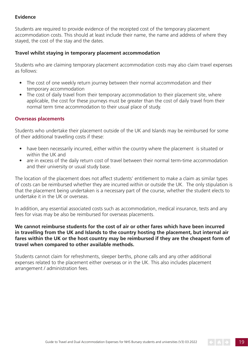### **Evidence**

Students are required to provide evidence of the receipted cost of the temporary placement accommodation costs. This should at least include their name, the name and address of where they stayed, the cost of the stay and the dates.

### **Travel whilst staying in temporary placement accommodation**

Students who are claiming temporary placement accommodation costs may also claim travel expenses as follows:

- The cost of one weekly return journey between their normal accommodation and their temporary accommodation
- The cost of daily travel from their temporary accommodation to their placement site, where applicable, the cost for these journeys must be greater than the cost of daily travel from their normal term time accommodation to their usual place of study.

#### **Overseas placements**

Students who undertake their placement outside of the UK and Islands may be reimbursed for some of their additional travelling costs if these:

- have been necessarily incurred, either within the country where the placement is situated or within the UK and
- are in excess of the daily return cost of travel between their normal term-time accommodation and their university or usual study base.

The location of the placement does not affect students' entitlement to make a claim as similar types of costs can be reimbursed whether they are incurred within or outside the UK. The only stipulation is that the placement being undertaken is a necessary part of the course, whether the student elects to undertake it in the UK or overseas.

In addition, any essential associated costs such as accommodation, medical insurance, tests and any fees for visas may be also be reimbursed for overseas placements.

### **We cannot reimburse students for the cost of air or other fares which have been incurred in travelling from the UK and Islands to the country hosting the placement, but internal air fares within the UK or the host country may be reimbursed if they are the cheapest form of travel when compared to other available methods.**

Students cannot claim for refreshments, sleeper berths, phone calls and any other additional expenses related to the placement either overseas or in the UK. This also includes placement arrangement / administration fees.